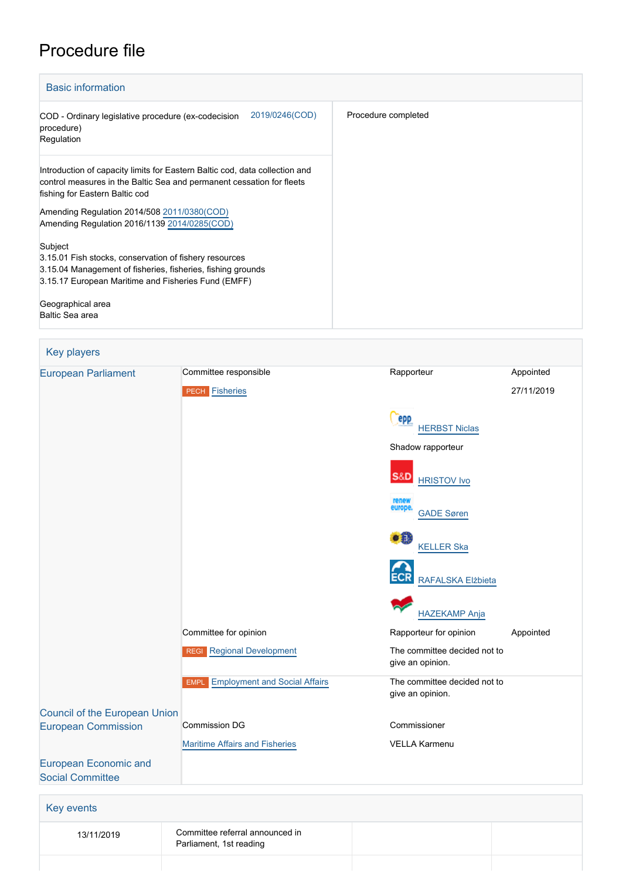## Procedure file



| <b>Rey players</b>            |                                                            |                                                  |            |
|-------------------------------|------------------------------------------------------------|--------------------------------------------------|------------|
| <b>European Parliament</b>    | Committee responsible                                      | Rapporteur                                       | Appointed  |
|                               | <b>PECH Fisheries</b>                                      |                                                  | 27/11/2019 |
|                               |                                                            |                                                  |            |
|                               |                                                            | epp<br><b>HERBST Niclas</b>                      |            |
|                               |                                                            | Shadow rapporteur                                |            |
|                               |                                                            | <b>S&amp;D</b><br><b>HRISTOV Ivo</b>             |            |
|                               |                                                            | renew<br>europe.<br><b>GADE Søren</b>            |            |
|                               |                                                            | 31<br><b>KELLER Ska</b>                          |            |
|                               |                                                            | RAFALSKA Elżbieta                                |            |
|                               |                                                            | <b>HAZEKAMP Anja</b>                             |            |
|                               | Committee for opinion                                      | Rapporteur for opinion                           | Appointed  |
|                               | <b>REGI</b> Regional Development                           | The committee decided not to<br>give an opinion. |            |
|                               | <b>EMPL</b> Employment and Social Affairs                  | The committee decided not to<br>give an opinion. |            |
| Council of the European Union |                                                            |                                                  |            |
| <b>European Commission</b>    | <b>Commission DG</b>                                       | Commissioner                                     |            |
|                               | <b>Maritime Affairs and Fisheries</b>                      | <b>VELLA Karmenu</b>                             |            |
| <b>European Economic and</b>  |                                                            |                                                  |            |
| <b>Social Committee</b>       |                                                            |                                                  |            |
| <b>Key events</b>             |                                                            |                                                  |            |
| 13/11/2019                    | Committee referral announced in<br>Parliament, 1st reading |                                                  |            |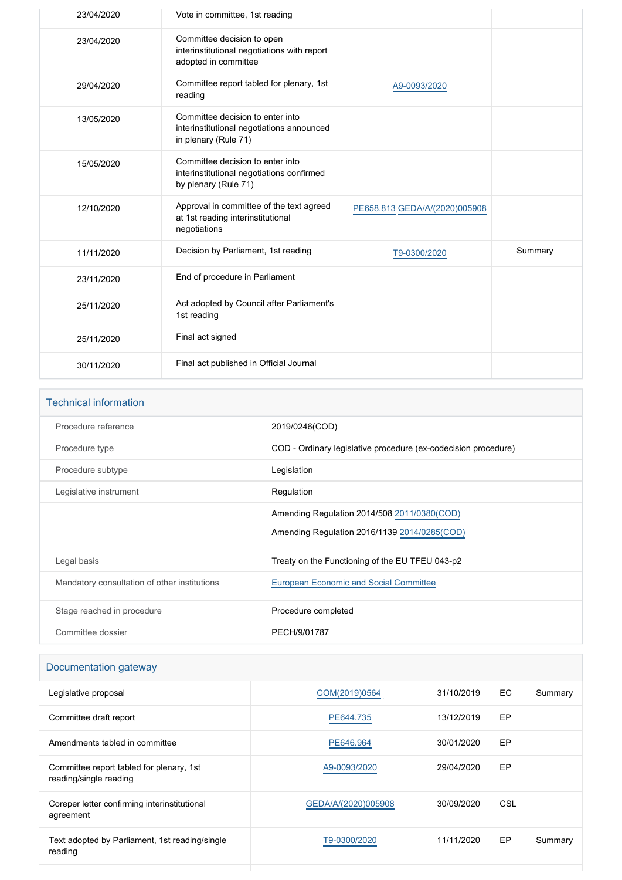| 23/04/2020 | Vote in committee, 1st reading                                                                        |                               |         |
|------------|-------------------------------------------------------------------------------------------------------|-------------------------------|---------|
| 23/04/2020 | Committee decision to open<br>interinstitutional negotiations with report<br>adopted in committee     |                               |         |
| 29/04/2020 | Committee report tabled for plenary, 1st<br>reading                                                   | A9-0093/2020                  |         |
| 13/05/2020 | Committee decision to enter into<br>interinstitutional negotiations announced<br>in plenary (Rule 71) |                               |         |
| 15/05/2020 | Committee decision to enter into<br>interinstitutional negotiations confirmed<br>by plenary (Rule 71) |                               |         |
| 12/10/2020 | Approval in committee of the text agreed<br>at 1st reading interinstitutional<br>negotiations         | PE658.813 GEDA/A/(2020)005908 |         |
| 11/11/2020 | Decision by Parliament, 1st reading                                                                   | T9-0300/2020                  | Summary |
| 23/11/2020 | End of procedure in Parliament                                                                        |                               |         |
| 25/11/2020 | Act adopted by Council after Parliament's<br>1st reading                                              |                               |         |
| 25/11/2020 | Final act signed                                                                                      |                               |         |
| 30/11/2020 | Final act published in Official Journal                                                               |                               |         |

# Technical information Procedure reference 2019/0246(COD) Procedure type **COD** - Ordinary legislative procedure (ex-codecision procedure) Procedure subtype **Legislation** Legislative instrument **Regulation** Regulation Amending Regulation 2014/508 [2011/0380\(COD\)](https://oeil.secure.europarl.europa.eu/oeil/popups/ficheprocedure.do?lang=en&reference=2011/0380(COD)) Amending Regulation 2016/1139 [2014/0285\(COD\)](https://oeil.secure.europarl.europa.eu/oeil/popups/ficheprocedure.do?lang=en&reference=2014/0285(COD)) Legal basis **Treaty on the Functioning of the EU TFEU 043-p2** Treaty on the Functioning of the EU TFEU 043-p2

| Mandatory consultation of other institutions | European Economic and Social Committee |
|----------------------------------------------|----------------------------------------|
| Stage reached in procedure                   | Procedure completed                    |
| Committee dossier                            | PECH/9/01787                           |

### Documentation gateway

| Legislative proposal                                               | COM(2019)0564       | 31/10/2019 | EC. | Summary |
|--------------------------------------------------------------------|---------------------|------------|-----|---------|
| Committee draft report                                             | PE644.735           | 13/12/2019 | EP  |         |
| Amendments tabled in committee                                     | PE646.964           | 30/01/2020 | EP  |         |
| Committee report tabled for plenary, 1st<br>reading/single reading | A9-0093/2020        | 29/04/2020 | EP  |         |
| Coreper letter confirming interinstitutional<br>agreement          | GEDA/A/(2020)005908 | 30/09/2020 | CSL |         |
| Text adopted by Parliament, 1st reading/single<br>reading          | T9-0300/2020        | 11/11/2020 | EP  | Summary |
|                                                                    |                     |            |     |         |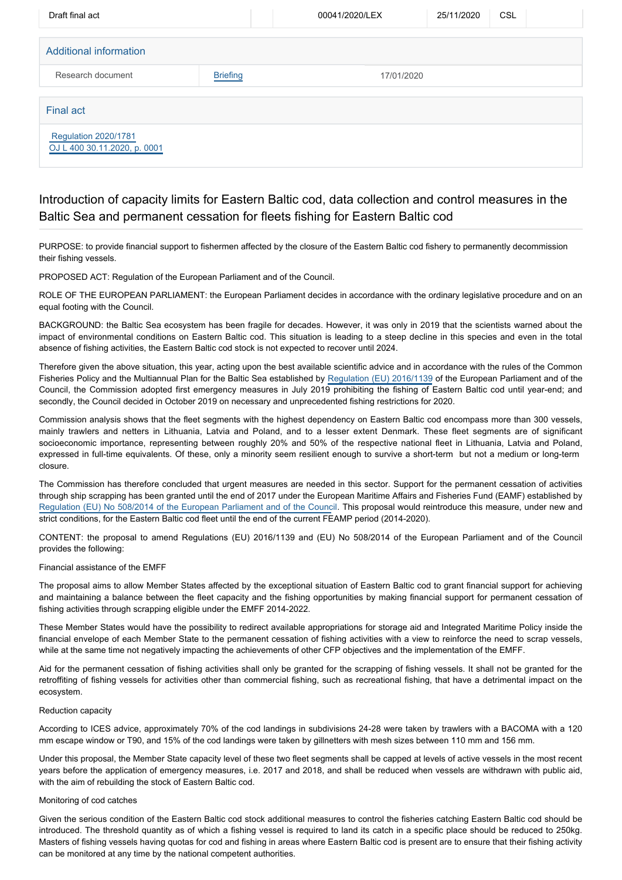| Draft final act                                             |                 | 00041/2020/LEX | 25/11/2020 | CSL |
|-------------------------------------------------------------|-----------------|----------------|------------|-----|
| Additional information                                      |                 |                |            |     |
| Research document                                           | <b>Briefing</b> | 17/01/2020     |            |     |
| <b>Final act</b>                                            |                 |                |            |     |
| <b>Regulation 2020/1781</b><br>OJ L 400 30.11.2020, p. 0001 |                 |                |            |     |

## Introduction of capacity limits for Eastern Baltic cod, data collection and control measures in the Baltic Sea and permanent cessation for fleets fishing for Eastern Baltic cod

PURPOSE: to provide financial support to fishermen affected by the closure of the Eastern Baltic cod fishery to permanently decommission their fishing vessels.

PROPOSED ACT: Regulation of the European Parliament and of the Council.

ROLE OF THE EUROPEAN PARLIAMENT: the European Parliament decides in accordance with the ordinary legislative procedure and on an equal footing with the Council.

BACKGROUND: the Baltic Sea ecosystem has been fragile for decades. However, it was only in 2019 that the scientists warned about the impact of environmental conditions on Eastern Baltic cod. This situation is leading to a steep decline in this species and even in the total absence of fishing activities, the Eastern Baltic cod stock is not expected to recover until 2024.

Therefore given the above situation, this year, acting upon the best available scientific advice and in accordance with the rules of the Common Fisheries Policy and the Multiannual Plan for the Baltic Sea established by [Regulation \(EU\) 2016/1139](https://oeil.secure.europarl.europa.eu/oeil/popups/ficheprocedure.do?reference=2014/0285(COD)&l=en) of the European Parliament and of the Council, the Commission adopted first emergency measures in July 2019 prohibiting the fishing of Eastern Baltic cod until year-end; and secondly, the Council decided in October 2019 on necessary and unprecedented fishing restrictions for 2020.

Commission analysis shows that the fleet segments with the highest dependency on Eastern Baltic cod encompass more than 300 vessels, mainly trawlers and netters in Lithuania, Latvia and Poland, and to a lesser extent Denmark. These fleet segments are of significant socioeconomic importance, representing between roughly 20% and 50% of the respective national fleet in Lithuania, Latvia and Poland, expressed in full-time equivalents. Of these, only a minority seem resilient enough to survive a short-term but not a medium or long-term closure.

The Commission has therefore concluded that urgent measures are needed in this sector. Support for the permanent cessation of activities through ship scrapping has been granted until the end of 2017 under the European Maritime Affairs and Fisheries Fund (EAMF) established by [Regulation \(EU\) No 508/2014 of the European Parliament and of the Counc](https://oeil.secure.europarl.europa.eu/oeil/popups/ficheprocedure.do?reference=2011/0380(COD)&l=en)il. This proposal would reintroduce this measure, under new and strict conditions, for the Eastern Baltic cod fleet until the end of the current FEAMP period (2014-2020).

CONTENT: the proposal to amend Regulations (EU) 2016/1139 and (EU) No 508/2014 of the European Parliament and of the Council provides the following:

#### Financial assistance of the EMFF

The proposal aims to allow Member States affected by the exceptional situation of Eastern Baltic cod to grant financial support for achieving and maintaining a balance between the fleet capacity and the fishing opportunities by making financial support for permanent cessation of fishing activities through scrapping eligible under the EMFF 2014-2022.

These Member States would have the possibility to redirect available appropriations for storage aid and Integrated Maritime Policy inside the financial envelope of each Member State to the permanent cessation of fishing activities with a view to reinforce the need to scrap vessels, while at the same time not negatively impacting the achievements of other CFP objectives and the implementation of the EMFF.

Aid for the permanent cessation of fishing activities shall only be granted for the scrapping of fishing vessels. It shall not be granted for the retroffiting of fishing vessels for activities other than commercial fishing, such as recreational fishing, that have a detrimental impact on the ecosystem.

#### Reduction capacity

According to ICES advice, approximately 70% of the cod landings in subdivisions 24-28 were taken by trawlers with a BACOMA with a 120 mm escape window or T90, and 15% of the cod landings were taken by gillnetters with mesh sizes between 110 mm and 156 mm.

Under this proposal, the Member State capacity level of these two fleet segments shall be capped at levels of active vessels in the most recent years before the application of emergency measures, i.e. 2017 and 2018, and shall be reduced when vessels are withdrawn with public aid, with the aim of rebuilding the stock of Eastern Baltic cod.

#### Monitoring of cod catches

Given the serious condition of the Eastern Baltic cod stock additional measures to control the fisheries catching Eastern Baltic cod should be introduced. The threshold quantity as of which a fishing vessel is required to land its catch in a specific place should be reduced to 250kg. Masters of fishing vessels having quotas for cod and fishing in areas where Eastern Baltic cod is present are to ensure that their fishing activity can be monitored at any time by the national competent authorities.